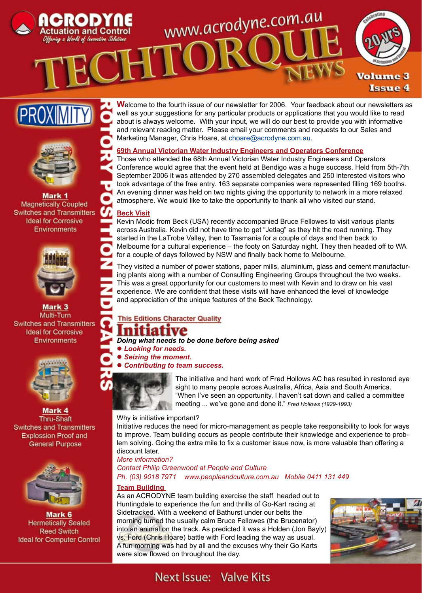











Mark 3 Multi-Turn **Switches and Transmitters Ideal for Corrosive** Environments



Mark 4 Thru-Shaft **Switches and Transmitters Explossion Proof and General Purpose** 



Mark 6 **Hermetically Sealed Reed Switch Ideal for Computer Control** 

**W**elcome to the fourth issue of our newsletter for 2006. Your feedback about our newsletters as well as your suggestions for any particular products or applications that you would like to read about is always welcome. With your input, we will do our best to provide you with informative and relevant reading matter. Please email your comments and requests to our Sales and Marketing Manager, Chris Hoare, at choare@acrodyne.com.au.

# **69th Annual Victorian Water Industry Engineers and Operators Conference**

www.acrodyne.com.au

Those who attended the 68th Annual Victorian Water Industry Engineers and Operators Conference would agree that the event held at Bendigo was a huge success. Held from 5th-7th September 2006 it was attended by 270 assembled delegates and 250 interested visitors who took advantage of the free entry. 163 separate companies were represented filling 169 booths. An evening dinner was held on two nights giving the opportunity to network in a more relaxed atmosphere. We would like to take the opportunity to thank all who visited our stand.

## **Beck Visit**

Kevin Modic from Beck (USA) recently accompanied Bruce Fellowes to visit various plants across Australia. Kevin did not have time to get "Jetlag" as they hit the road running. They started in the LaTrobe Valley, then to Tasmania for a couple of days and then back to Melbourne for a cultural experience – the footy on Saturday night. They then headed off to WA for a couple of days followed by NSW and finally back home to Melbourne.

They visited a number of power stations, paper mills, aluminium, glass and cement manufacturing plants along with a number of Consulting Engineering Groups throughout the two weeks. This was a great opportunity for our customers to meet with Kevin and to draw on his vast experience. We are confident that these visits will have enhanced the level of knowledge and appreciation of the unique features of the Beck Technology.

# **This Editions Character Quality**

# nifiative

*Doing what needs to be done before being asked*

l *Looking for needs.*

 $\bullet$  **Seizing the moment.** 

l *Contributing to team success.*



The initiative and hard work of Fred Hollows AC has resulted in restored eye sight to many people across Australia, Africa, Asia and South America. "When I've seen an opportunity, I haven't sat down and called a committee meeting ... we've gone and done it." *Fred Hollows (1929-1993)*

# Why is initiative important?

Initiative reduces the need for micro-management as people take responsibility to look for ways to improve. Team building occurs as people contribute their knowledge and experience to problem solving. Going the extra mile to fix a customer issue now, is more valuable than offering a discount later.

# *More information?*

*Contact Philip Greenwood at People and Culture Ph. (03) 9018 7971 www.peopleandculture.com.au Mobile 0411 131 449*

## **Team Building**

As an ACRODYNE team building exercise the staff headed out to Huntingdale to experience the fun and thrills of Go-Kart racing at Sidetracked. With a weekend of Bathurst under our belts the morning turned the usually calm Bruce Fellowes (the Brucenator) into an animal on the track. As predicted it was a Holden (Jon Bayly) vs. Ford (Chris Hoare) battle with Ford leading the way as usual. A fun morning was had by all and the excuses why their Go Karts were slow flowed on throughout the day.



# Next Issue: Valve Kits